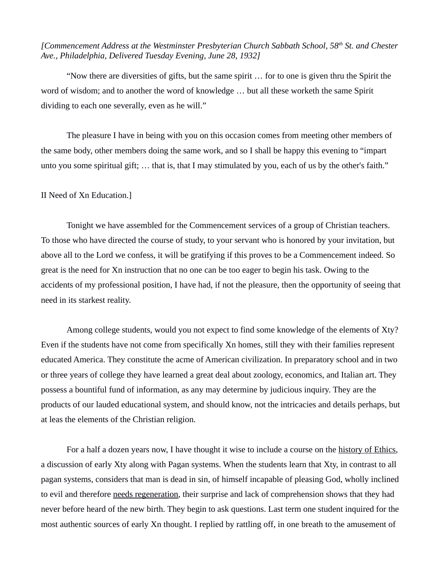*[Commencement Address at the Westminster Presbyterian Church Sabbath School, 58th St. and Chester Ave., Philadelphia, Delivered Tuesday Evening, June 28, 1932]*

"Now there are diversities of gifts, but the same spirit … for to one is given thru the Spirit the word of wisdom; and to another the word of knowledge … but all these worketh the same Spirit dividing to each one severally, even as he will."

The pleasure I have in being with you on this occasion comes from meeting other members of the same body, other members doing the same work, and so I shall be happy this evening to "impart unto you some spiritual gift; … that is, that I may stimulated by you, each of us by the other's faith."

## II Need of Xn Education.]

Tonight we have assembled for the Commencement services of a group of Christian teachers. To those who have directed the course of study, to your servant who is honored by your invitation, but above all to the Lord we confess, it will be gratifying if this proves to be a Commencement indeed. So great is the need for Xn instruction that no one can be too eager to begin his task. Owing to the accidents of my professional position, I have had, if not the pleasure, then the opportunity of seeing that need in its starkest reality.

Among college students, would you not expect to find some knowledge of the elements of Xty? Even if the students have not come from specifically Xn homes, still they with their families represent educated America. They constitute the acme of American civilization. In preparatory school and in two or three years of college they have learned a great deal about zoology, economics, and Italian art. They possess a bountiful fund of information, as any may determine by judicious inquiry. They are the products of our lauded educational system, and should know, not the intricacies and details perhaps, but at leas the elements of the Christian religion.

For a half a dozen years now, I have thought it wise to include a course on the history of Ethics, a discussion of early Xty along with Pagan systems. When the students learn that Xty, in contrast to all pagan systems, considers that man is dead in sin, of himself incapable of pleasing God, wholly inclined to evil and therefore needs regeneration, their surprise and lack of comprehension shows that they had never before heard of the new birth. They begin to ask questions. Last term one student inquired for the most authentic sources of early Xn thought. I replied by rattling off, in one breath to the amusement of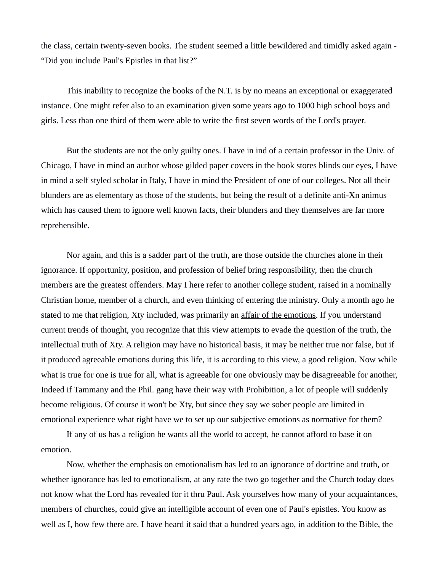the class, certain twenty-seven books. The student seemed a little bewildered and timidly asked again - "Did you include Paul's Epistles in that list?"

This inability to recognize the books of the N.T. is by no means an exceptional or exaggerated instance. One might refer also to an examination given some years ago to 1000 high school boys and girls. Less than one third of them were able to write the first seven words of the Lord's prayer.

But the students are not the only guilty ones. I have in ind of a certain professor in the Univ. of Chicago, I have in mind an author whose gilded paper covers in the book stores blinds our eyes, I have in mind a self styled scholar in Italy, I have in mind the President of one of our colleges. Not all their blunders are as elementary as those of the students, but being the result of a definite anti-Xn animus which has caused them to ignore well known facts, their blunders and they themselves are far more reprehensible.

Nor again, and this is a sadder part of the truth, are those outside the churches alone in their ignorance. If opportunity, position, and profession of belief bring responsibility, then the church members are the greatest offenders. May I here refer to another college student, raised in a nominally Christian home, member of a church, and even thinking of entering the ministry. Only a month ago he stated to me that religion, Xty included, was primarily an affair of the emotions. If you understand current trends of thought, you recognize that this view attempts to evade the question of the truth, the intellectual truth of Xty. A religion may have no historical basis, it may be neither true nor false, but if it produced agreeable emotions during this life, it is according to this view, a good religion. Now while what is true for one is true for all, what is agreeable for one obviously may be disagreeable for another, Indeed if Tammany and the Phil. gang have their way with Prohibition, a lot of people will suddenly become religious. Of course it won't be Xty, but since they say we sober people are limited in emotional experience what right have we to set up our subjective emotions as normative for them?

If any of us has a religion he wants all the world to accept, he cannot afford to base it on emotion.

Now, whether the emphasis on emotionalism has led to an ignorance of doctrine and truth, or whether ignorance has led to emotionalism, at any rate the two go together and the Church today does not know what the Lord has revealed for it thru Paul. Ask yourselves how many of your acquaintances, members of churches, could give an intelligible account of even one of Paul's epistles. You know as well as I, how few there are. I have heard it said that a hundred years ago, in addition to the Bible, the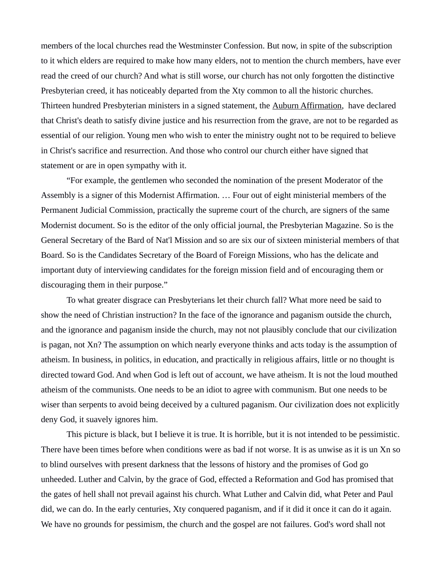members of the local churches read the Westminster Confession. But now, in spite of the subscription to it which elders are required to make how many elders, not to mention the church members, have ever read the creed of our church? And what is still worse, our church has not only forgotten the distinctive Presbyterian creed, it has noticeably departed from the Xty common to all the historic churches. Thirteen hundred Presbyterian ministers in a signed statement, the Auburn Affirmation, have declared that Christ's death to satisfy divine justice and his resurrection from the grave, are not to be regarded as essential of our religion. Young men who wish to enter the ministry ought not to be required to believe in Christ's sacrifice and resurrection. And those who control our church either have signed that statement or are in open sympathy with it.

"For example, the gentlemen who seconded the nomination of the present Moderator of the Assembly is a signer of this Modernist Affirmation. … Four out of eight ministerial members of the Permanent Judicial Commission, practically the supreme court of the church, are signers of the same Modernist document. So is the editor of the only official journal, the Presbyterian Magazine. So is the General Secretary of the Bard of Nat'l Mission and so are six our of sixteen ministerial members of that Board. So is the Candidates Secretary of the Board of Foreign Missions, who has the delicate and important duty of interviewing candidates for the foreign mission field and of encouraging them or discouraging them in their purpose."

To what greater disgrace can Presbyterians let their church fall? What more need be said to show the need of Christian instruction? In the face of the ignorance and paganism outside the church, and the ignorance and paganism inside the church, may not not plausibly conclude that our civilization is pagan, not Xn? The assumption on which nearly everyone thinks and acts today is the assumption of atheism. In business, in politics, in education, and practically in religious affairs, little or no thought is directed toward God. And when God is left out of account, we have atheism. It is not the loud mouthed atheism of the communists. One needs to be an idiot to agree with communism. But one needs to be wiser than serpents to avoid being deceived by a cultured paganism. Our civilization does not explicitly deny God, it suavely ignores him.

This picture is black, but I believe it is true. It is horrible, but it is not intended to be pessimistic. There have been times before when conditions were as bad if not worse. It is as unwise as it is un Xn so to blind ourselves with present darkness that the lessons of history and the promises of God go unheeded. Luther and Calvin, by the grace of God, effected a Reformation and God has promised that the gates of hell shall not prevail against his church. What Luther and Calvin did, what Peter and Paul did, we can do. In the early centuries, Xty conquered paganism, and if it did it once it can do it again. We have no grounds for pessimism, the church and the gospel are not failures. God's word shall not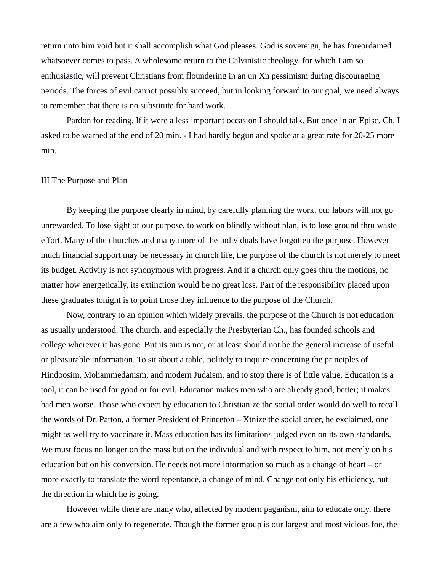return unto him void but it shall accomplish what God pleases. God is sovereign, he has foreordained whatsoever comes to pass. A wholesome return to the Calvinistic theology, for which I am so enthusiastic, will prevent Christians from floundering in an un Xn pessimism during discouraging periods. The forces of evil cannot possibly succeed, but in looking forward to our goal, we need always to remember that there is no substitute for hard work.

Pardon for reading. If it were a less important occasion I should talk. But once in an Episc. Ch. I asked to be warned at the end of 20 min. - I had hardly begun and spoke at a great rate for 20-25 more min.

## III The Purpose and Plan

By keeping the purpose clearly in mind, by carefully planning the work, our labors will not go unrewarded. To lose sight of our purpose, to work on blindly without plan, is to lose ground thru waste effort. Many of the churches and many more of the individuals have forgotten the purpose. However much financial support may be necessary in church life, the purpose of the church is not merely to meet its budget. Activity is not synonymous with progress. And if a church only goes thru the motions, no matter how energetically, its extinction would be no great loss. Part of the responsibility placed upon these graduates tonight is to point those they influence to the purpose of the Church.

Now, contrary to an opinion which widely prevails, the purpose of the Church is not education as usually understood. The church, and especially the Presbyterian Ch., has founded schools and college wherever it has gone. But its aim is not, or at least should not be the general increase of useful or pleasurable information. To sit about a table, politely to inquire concerning the principles of Hindoosim, Mohammedanism, and modern Judaism, and to stop there is of little value. Education is a tool, it can be used for good or for evil. Education makes men who are already good, better; it makes bad men worse. Those who expect by education to Christianize the social order would do well to recall the words of Dr. Patton, a former President of Princeton – Xtnize the social order, he exclaimed, one might as well try to vaccinate it. Mass education has its limitations judged even on its own standards. We must focus no longer on the mass but on the individual and with respect to him, not merely on his education but on his conversion. He needs not more information so much as a change of heart – or more exactly to translate the word repentance, a change of mind. Change not only his efficiency, but the direction in which he is going.

However while there are many who, affected by modern paganism, aim to educate only, there are a few who aim only to regenerate. Though the former group is our largest and most vicious foe, the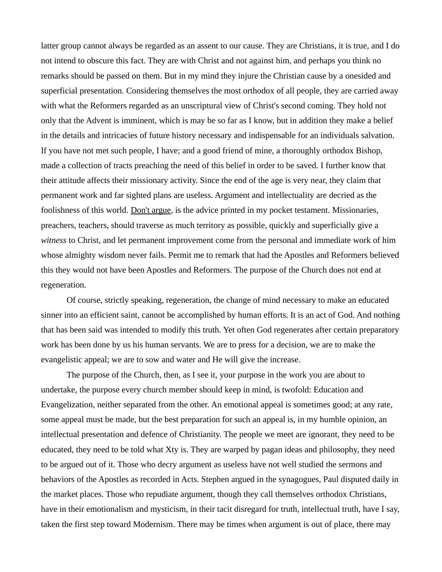latter group cannot always be regarded as an assent to our cause. They are Christians, it is true, and I do not intend to obscure this fact. They are with Christ and not against him, and perhaps you think no remarks should be passed on them. But in my mind they injure the Christian cause by a onesided and superficial presentation. Considering themselves the most orthodox of all people, they are carried away with what the Reformers regarded as an unscriptural view of Christ's second coming. They hold not only that the Advent is imminent, which is may be so far as I know, but in addition they make a belief in the details and intricacies of future history necessary and indispensable for an individuals salvation. If you have not met such people, I have; and a good friend of mine, a thoroughly orthodox Bishop, made a collection of tracts preaching the need of this belief in order to be saved. I further know that their attitude affects their missionary activity. Since the end of the age is very near, they claim that permanent work and far sighted plans are useless. Argument and intellectuality are decried as the foolishness of this world. Don't argue, is the advice printed in my pocket testament. Missionaries, preachers, teachers, should traverse as much territory as possible, quickly and superficially give a *witness* to Christ, and let permanent improvement come from the personal and immediate work of him whose almighty wisdom never fails. Permit me to remark that had the Apostles and Reformers believed this they would not have been Apostles and Reformers. The purpose of the Church does not end at regeneration.

Of course, strictly speaking, regeneration, the change of mind necessary to make an educated sinner into an efficient saint, cannot be accomplished by human efforts. It is an act of God. And nothing that has been said was intended to modify this truth. Yet often God regenerates after certain preparatory work has been done by us his human servants. We are to press for a decision, we are to make the evangelistic appeal; we are to sow and water and He will give the increase.

The purpose of the Church, then, as I see it, your purpose in the work you are about to undertake, the purpose every church member should keep in mind, is twofold: Education and Evangelization, neither separated from the other. An emotional appeal is sometimes good; at any rate, some appeal must be made, but the best preparation for such an appeal is, in my humble opinion, an intellectual presentation and defence of Christianity. The people we meet are ignorant, they need to be educated, they need to be told what Xty is. They are warped by pagan ideas and philosophy, they need to be argued out of it. Those who decry argument as useless have not well studied the sermons and behaviors of the Apostles as recorded in Acts. Stephen argued in the synagogues, Paul disputed daily in the market places. Those who repudiate argument, though they call themselves orthodox Christians, have in their emotionalism and mysticism, in their tacit disregard for truth, intellectual truth, have I say, taken the first step toward Modernism. There may be times when argument is out of place, there may